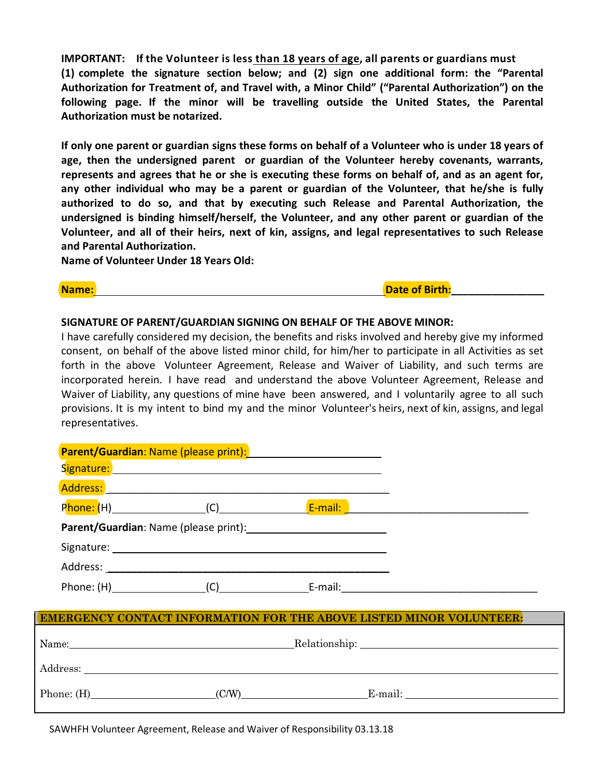**IMPORTANT: If the Volunteer is less than 18 years of age, all parents or guardians must (1) complete the signature section below; and (2) sign one additional form: the "Parental Authorization for Treatment of, and Travel with, a Minor Child" ("Parental Authorization") on the following page. If the minor will be travelling outside the United States, the Parental Authorization must be notarized.**

If only one parent or guardian signs these forms on behalf of a Volunteer who is under 18 years of **age, then the undersigned parent or guardian of the Volunteer hereby covenants, warrants,** represents and agrees that he or she is executing these forms on behalf of, and as an agent for, **any other individual who may be a parent or guardian of the Volunteer, that he/she is fully authorized to do so, and that by executing such Release and Parental Authorization, the undersigned is binding himself/herself, the Volunteer, and any other parent or guardian of the Volunteer, and all of their heirs, next of kin, assigns, and legal representatives to such Release and Parental Authorization.**

**Name of Volunteer Under 18 Years Old:**

Address:

**Name:** Date of Birth:

## **SIGNATURE OF PARENT/GUARDIAN SIGNING ON BEHALF OF THE ABOVE MINOR:**

I have carefully considered my decision, the benefits and risks involved and hereby give my informed consent, on behalf of the above listed minor child, for him/her to participate in all Activities as set forth in the above Volunteer Agreement, Release and Waiver of Liability, and such terms are incorporated herein. I have read and understand the above Volunteer Agreement, Release and Waiver of Liability, any questions of mine have been answered, and I voluntarily agree to all such provisions. It is my intent to bind my and the minor Volunteer's heirs, next of kin, assigns, and legal representatives.

|  | Parent/Guardian: Name (please print): Manual Museum Museum Museum Museum Museum Museum Museum Museum Museum Mu                                                                                                 |                                                                            |
|--|----------------------------------------------------------------------------------------------------------------------------------------------------------------------------------------------------------------|----------------------------------------------------------------------------|
|  | <b>Signature: Signature: All and Signature: All and Signature: All and Signature: All and Signature: All and Signature: All and Signature: All and Signature: All and Signature: All and Signature: All an</b> |                                                                            |
|  | Address: Address: Address: Address: Address: Address: Address: Address: Address: Address: Address: A                                                                                                           |                                                                            |
|  |                                                                                                                                                                                                                |                                                                            |
|  | Parent/Guardian: Name (please print): Name (please print):                                                                                                                                                     |                                                                            |
|  |                                                                                                                                                                                                                |                                                                            |
|  |                                                                                                                                                                                                                |                                                                            |
|  |                                                                                                                                                                                                                | Phone: (H) (C) E-mail: E-mail:                                             |
|  |                                                                                                                                                                                                                | <b>EMERGENCY CONTACT INFORMATION FOR THE ABOVE LISTED MINOR VOLUNTEER:</b> |
|  |                                                                                                                                                                                                                | Name: Relationship: Relationship:                                          |

| ----------             |     |        |
|------------------------|-----|--------|
| Phone:<br>\ <b>1</b> 1 | C/W | E-mail |

SAWHFH Volunteer Agreement, Release and Waiver of Responsibility 03.13.18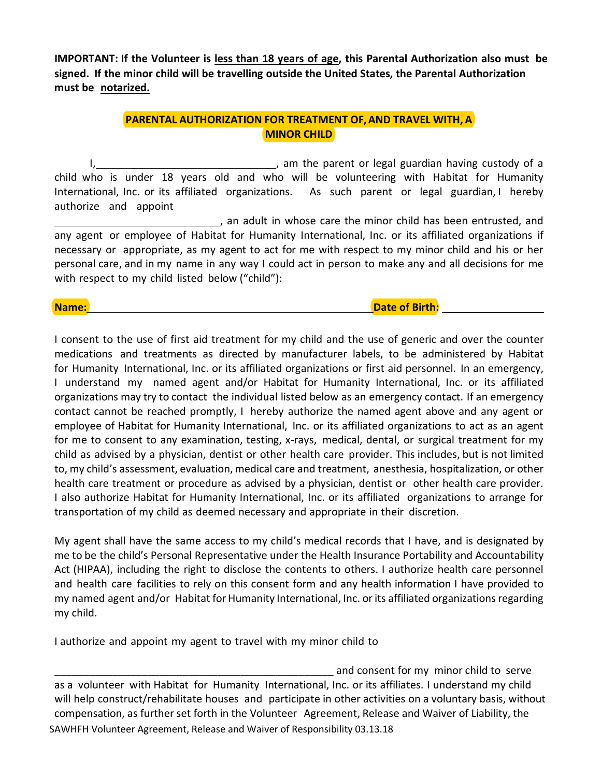**IMPORTANT: If the Volunteer is less than 18 years of age, this Parental Authorization also must be signed. If the minor child will be travelling outside the United States, the Parental Authorization must be notarized.**

## **PARENTAL AUTHORIZATION FOR TREATMENT OF,AND TRAVEL WITH, A MINOR CHILD**

I, the parent or legal guardian having custody of a child who is under 18 years old and who will be volunteering with Habitat for Humanity International, Inc. or its affiliated organizations. As such parent or legal guardian, I hereby authorize and appoint

, an adult in whose care the minor child has been entrusted, and any agent or employee of Habitat for Humanity International, Inc. or its affiliated organizations if necessary or appropriate, as my agent to act for me with respect to my minor child and his or her personal care, and in my name in any way I could act in person to make any and all decisions for me with respect to my child listed below ("child"):

## **Name: Date of Birth:**  $\blacksquare$

I consent to the use of first aid treatment for my child and the use of generic and over the counter medications and treatments as directed by manufacturer labels, to be administered by Habitat for Humanity International, Inc. or its affiliated organizations or first aid personnel. In an emergency, I understand my named agent and/or Habitat for Humanity International, Inc. or its affiliated organizations may try to contact the individual listed below as an emergency contact. If an emergency contact cannot be reached promptly, I hereby authorize the named agent above and any agent or employee of Habitat for Humanity International, Inc. or its affiliated organizations to act as an agent for me to consent to any examination, testing, x-rays, medical, dental, or surgical treatment for my child as advised by a physician, dentist or other health care provider. This includes, but is not limited to, my child's assessment, evaluation, medical care and treatment, anesthesia, hospitalization, or other health care treatment or procedure as advised by a physician, dentist or other health care provider. I also authorize Habitat for Humanity International, Inc. or its affiliated organizations to arrange for transportation of my child as deemed necessary and appropriate in their discretion.

My agent shall have the same access to my child's medical records that I have, and is designated by me to be the child's Personal Representative under the Health Insurance Portability and Accountability Act (HIPAA), including the right to disclose the contents to others. I authorize health care personnel and health care facilities to rely on this consent form and any health information I have provided to my named agent and/or Habitat for Humanity International, Inc. or its affiliated organizations regarding my child.

I authorize and appoint my agent to travel with my minor child to

SAWHFH Volunteer Agreement, Release and Waiver of Responsibility 03.13.18 and consent for my minor child to serve as a volunteer with Habitat for Humanity International, Inc. or its affiliates. I understand my child will help construct/rehabilitate houses and participate in other activities on a voluntary basis, without compensation, as further set forth in the Volunteer Agreement, Release and Waiver of Liability, the